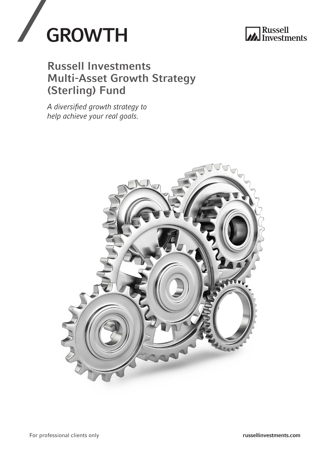



### Russell Investments Multi-Asset Growth Strategy (Sterling) Fund

*A diversified growth strategy to help achieve your real goals.* 

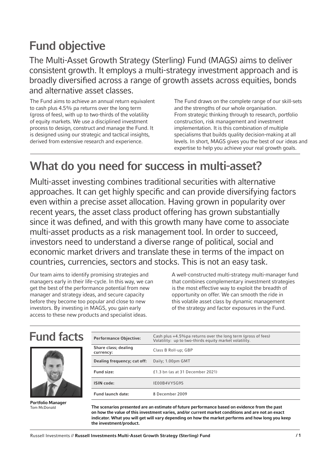# Fund objective

The Multi-Asset Growth Strategy (Sterling) Fund (MAGS) aims to deliver consistent growth. It employs a multi-strategy investment approach and is broadly diversified across a range of growth assets across equities, bonds and alternative asset classes.

The Fund aims to achieve an annual return equivalent to cash plus 4.5% pa returns over the long term (gross of fees), with up to two-thirds of the volatility of equity markets. We use a disciplined investment process to design, construct and manage the Fund. It is designed using our strategic and tactical insights, derived from extensive research and experience.

The Fund draws on the complete range of our skill-sets and the strengths of our whole organisation. From strategic thinking through to research, portfolio construction, risk management and investment implementation. It is this combination of multiple specialisms that builds quality decision-making at all levels. In short, MAGS gives you the best of our ideas and expertise to help you achieve your real growth goals.

# What do you need for success in multi-asset?

Multi-asset investing combines traditional securities with alternative approaches. It can get highly specific and can provide diversifying factors even within a precise asset allocation. Having grown in popularity over recent years, the asset class product offering has grown substantially since it was defined, and with this growth many have come to associate multi-asset products as a risk management tool. In order to succeed, investors need to understand a diverse range of political, social and economic market drivers and translate these in terms of the impact on countries, currencies, sectors and stocks. This is not an easy task.

Our team aims to identify promising strategies and managers early in their life-cycle. In this way, we can get the best of the performance potential from new manager and strategy ideas, and secure capacity before they become too popular and close to new investors. By investing in MAGS, you gain early access to these new products and specialist ideas.

A well-constructed multi-strategy multi-manager fund that combines complementary investment strategies is the most effective way to exploit the breadth of opportunity on offer. We can smooth the ride in this volatile asset class by dynamic management of the strategy and factor exposures in the Fund.

### Fund facts



Portfolio Manager Tom McDonald

| <b>Performance Objective:</b>     | Cash plus +4.5% pa returns over the long term (gross of fees)<br>Volatility: up to two-thirds equity market volatility. |
|-----------------------------------|-------------------------------------------------------------------------------------------------------------------------|
| Share class; dealing<br>currency: | Class B Roll-up; GBP                                                                                                    |
| Dealing frequency; cut off:       | Daily; 1.00pm GMT                                                                                                       |
| Fund size:                        | £1.3 bn (as at 31 December 2021)                                                                                        |
| <b>ISIN</b> code:                 | IE00B4VY5G95                                                                                                            |
| <b>Fund launch date:</b>          | 8 December 2009                                                                                                         |

The scenarios presented are an estimate of future performance based on evidence from the past on how the value of this investment varies, and/or current market conditions and are not an exact indicator. What you will get will vary depending on how the market performs and how long you keep the investment/product.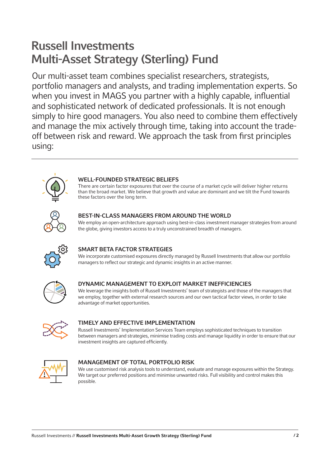# Russell Investments Multi-Asset Strategy (Sterling) Fund

Our multi-asset team combines specialist researchers, strategists, portfolio managers and analysts, and trading implementation experts. So when you invest in MAGS you partner with a highly capable, influential and sophisticated network of dedicated professionals. It is not enough simply to hire good managers. You also need to combine them effectively and manage the mix actively through time, taking into account the tradeoff between risk and reward. We approach the task from first principles using:



### WELL-FOUNDED STRATEGIC BELIEFS

There are certain factor exposures that over the course of a market cycle will deliver higher returns than the broad market. We believe that growth and value are dominant and we tilt the Fund towards these factors over the long term.



### BEST-IN-CLASS MANAGERS FROM AROUND THE WORLD

We employ an open-architecture approach using best-in-class investment manager strategies from around the globe, giving investors access to a truly unconstrained breadth of managers.



### SMART BETA FACTOR STRATEGIES

We incorporate customised exposures directly managed by Russell Investments that allow our portfolio managers to reflect our strategic and dynamic insights in an active manner.



### DYNAMIC MANAGEMENT TO EXPLOIT MARKET INEFFICIENCIES

We leverage the insights both of Russell Investments' team of strategists and those of the managers that we employ, together with external research sources and our own tactical factor views, in order to take advantage of market opportunities.



#### TIMELY AND EFFECTIVE IMPLEMENTATION

Russell Investments' Implementation Services Team employs sophisticated techniques to transition between managers and strategies, minimise trading costs and manage liquidity in order to ensure that our investment insights are captured efficiently.



#### MANAGEMENT OF TOTAL PORTFOLIO RISK

We use customised risk analysis tools to understand, evaluate and manage exposures within the Strategy. We target our preferred positions and minimise unwanted risks. Full visibility and control makes this possible.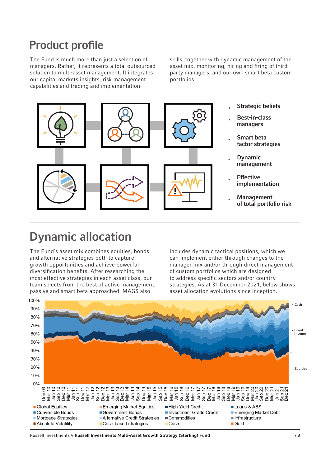### Product profile

The Fund is much more than just a selection of managers. Rather, it represents a total outsourced solution to multi-asset management. It integrates our capital markets insights, risk management capabilities and trading and implementation

skills, together with dynamic management of the asset mix, monitoring, hiring and firing of thirdparty managers, and our own smart beta custom portfolios.



- **Strategic beliefs**
- Best-in-class managers
- Smart beta factor strategies
- **Dynamic** management
- **Effective** implementation
- **Management** of total portfolio risk

# Dynamic allocation

The Fund's asset mix combines equities, bonds and alternative strategies both to capture growth opportunities and achieve powerful diversification benefits. After researching the most effective strategies in each asset class, our team selects from the best of active management, passive and smart beta approached. MAGS also

includes dynamic tactical positions, which we can implement either through changes to the manager mix and/or through direct management of custom portfolios which are designed to address specific sectors and/or country strategies. As at 31 December 2021, below shows asset allocation evolutions since inception.



Russell Investments // Russell Investments Multi-Asset Growth Strategy (Sterling) Fund / 3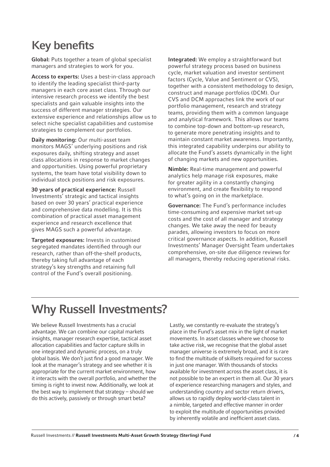## Key benefits

Global: Puts together a team of global specialist managers and strategies to work for you.

Access to experts: Uses a best-in-class approach to identify the leading specialist third-party managers in each core asset class. Through our intensive research process we identify the best specialists and gain valuable insights into the success of different manager strategies. Our extensive experience and relationships allow us to select niche specialist capabilities and customise strategies to complement our portfolios.

Daily monitoring: Our multi-asset team monitors MAGS' underlying positions and risk exposures daily, shifting strategy and asset class allocations in response to market changes and opportunities. Using powerful proprietary systems, the team have total visibility down to individual stock positions and risk exposures.

30 years of practical experience: Russell Investments' strategic and tactical insights based on over 30 years' practical experience and comprehensive data modelling. It is this combination of practical asset management experience and research excellence that gives MAGS such a powerful advantage.

Targeted exposures: Invests in customised segregated mandates identified through our research, rather than off-the-shelf products, thereby taking full advantage of each strategy's key strengths and retaining full control of the Fund's overall positioning.

Integrated: We employ a straightforward but powerful strategy process based on business cycle, market valuation and investor sentiment factors (Cycle, Value and Sentiment or CVS), together with a consistent methodology to design, construct and manage portfolios (DCM). Our CVS and DCM approaches link the work of our portfolio management, research and strategy teams, providing them with a common language and analytical framework. This allows our teams to combine top-down and bottom-up research, to generate more penetrating insights and to maintain constant market awareness. Importantly, this integrated capability underpins our ability to allocate the Fund's assets dynamically in the light of changing markets and new opportunities.

Nimble: Real-time management and powerful analytics help manage risk exposures, make for greater agility in a constantly changing environment, and create flexibility to respond to what's going on in the marketplace.

Governance: The Fund's performance includes time-consuming and expensive market set-up costs and the cost of all manager and strategy changes. We take away the need for beauty parades, allowing investors to focus on more critical governance aspects. In addition, Russell Investments' Manager Oversight Team undertakes comprehensive, on-site due diligence reviews for all managers, thereby reducing operational risks.

# Why Russell Investments?

We believe Russell Investments has a crucial advantage. We can combine our capital markets insights, manager research expertise, tactical asset allocation capabilities and factor capture skills in one integrated and dynamic process, on a truly global basis. We don't just find a good manager. We look at the manager's strategy and see whether it is appropriate for the current market environment, how it interacts with the overall portfolio, and whether the timing is right to invest now. Additionally, we look at the best way to implement that strategy – should we do this actively, passively or through smart beta?

Lastly, we constantly re-evaluate the strategy's place in the Fund's asset mix in the light of market movements. In asset classes where we choose to take active risk, we recognise that the global asset manager universe is extremely broad, and it is rare to find the multitude of skillsets required for success in just one manager. With thousands of stocks available for investment across the asset class, it is not possible to be an expert in them all. Our 30 years of experience researching managers and styles, and understanding country and sector return drivers, allows us to rapidly deploy world-class talent in a nimble, targeted and effective manner in order to exploit the multitude of opportunities provided by inherently volatile and inefficient asset class.